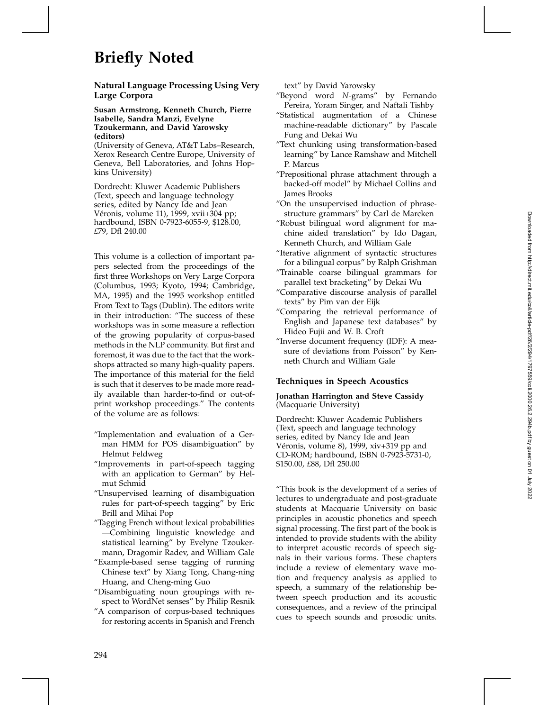# **Briefly Noted**

**Natural Language Processing Using Very Large Corpora**

## **Susan Armstrong, Kenneth Church, Pierre Isabelle, Sandra Manzi, Evelyne Tzoukermann, and David Yarowsky (editors)**

(University of Geneva, AT&T Labs–Research, Xerox Research Centre Europe, University of Geneva, Bell Laboratories, and Johns Hopkins University)

Dordrecht: Kluwer Academic Publishers (Text, speech and language technology series, edited by Nancy Ide and Jean Véronis, volume 11), 1999, xvii+304 pp; hardbound, ISBN 0-7923-6055-9, \$128.00, *£*79, Dfl 240.00

This volume is a collection of important papers selected from the proceedings of the first three Workshops on Very Large Corpora (Columbus, 1993; Kyoto, 1994; Cambridge, MA, 1995) and the 1995 workshop entitled From Text to Tags (Dublin). The editors write in their introduction: "The success of these workshops was in some measure a reflection of the growing popularity of corpus-based methods in the NLP community. But first and foremost, it was due to the fact that the workshops attracted so many high-quality papers. The importance of this material for the field is such that it deserves to be made more readily available than harder-to-find or out-ofprint workshop proceedings." The contents of the volume are as follows:

- "Implementation and evaluation of a German HMM for POS disambiguation" by Helmut Feldweg
- "Improvements in part-of-speech tagging with an application to German" by Helmut Schmid
- "Unsupervised learning of disambiguation rules for part-of-speech tagging" by Eric Brill and Mihai Pop
- "Tagging French without lexical probabilities —Combining linguistic knowledge and statistical learning" by Evelyne Tzoukermann, Dragomir Radev, and William Gale
- "Example-based sense tagging of running Chinese text" by Xiang Tong, Chang-ning Huang, and Cheng-ming Guo
- "Disambiguating noun groupings with respect to WordNet senses" by Philip Resnik
- "A comparison of corpus-based techniques for restoring accents in Spanish and French

text" by David Yarowsky

- "Beyond word *N*-grams" by Fernando Pereira, Yoram Singer, and Naftali Tishby
- "Statistical augmentation of a Chinese machine-readable dictionary" by Pascale Fung and Dekai Wu
- "Text chunking using transformation-based learning" by Lance Ramshaw and Mitchell P. Marcus
- "Prepositional phrase attachment through a backed-off model" by Michael Collins and James Brooks
- "On the unsupervised induction of phrasestructure grammars" by Carl de Marcken
- "Robust bilingual word alignment for machine aided translation" by Ido Dagan, Kenneth Church, and William Gale
- "Iterative alignment of syntactic structures for a bilingual corpus" by Ralph Grishman
- "Trainable coarse bilingual grammars for parallel text bracketing" by Dekai Wu
- "Comparative discourse analysis of parallel texts" by Pim van der Eijk
- "Comparing the retrieval performance of English and Japanese text databases" by Hideo Fujii and W. B. Croft
- "Inverse document frequency (IDF): A measure of deviations from Poisson" by Kenneth Church and William Gale

#### **Techniques in Speech Acoustics**

## **Jonathan Harrington and Steve Cassidy** (Macquarie University)

Dordrecht: Kluwer Academic Publishers (Text, speech and language technology series, edited by Nancy Ide and Jean Véronis, volume 8), 1999,  $xiv+319$  pp and CD-ROM; hardbound, ISBN 0-7923-5731-0, \$150.00, *£*88, Dfl 250.00

"This book is the development of a series of lectures to undergraduate and post-graduate students at Macquarie University on basic principles in acoustic phonetics and speech signal processing. The first part of the book is intended to provide students with the ability to interpret acoustic records of speech signals in their various forms. These chapters include a review of elementary wave motion and frequency analysis as applied to speech, a summary of the relationship between speech production and its acoustic consequences, and a review of the principal cues to speech sounds and prosodic units.